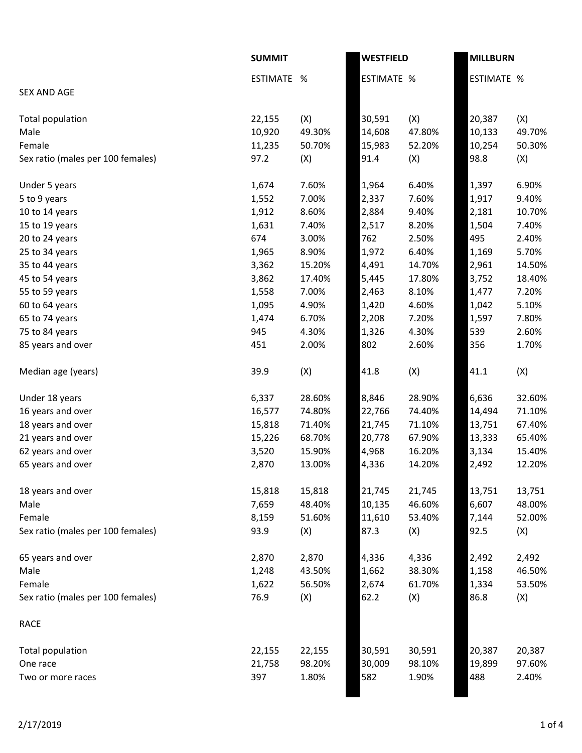|                                   | <b>SUMMIT</b> |        | <b>WESTFIELD</b>  |        | <b>MILLBURN</b>   |        |
|-----------------------------------|---------------|--------|-------------------|--------|-------------------|--------|
|                                   | ESTIMATE %    |        | <b>ESTIMATE %</b> |        | <b>ESTIMATE %</b> |        |
| <b>SEX AND AGE</b>                |               |        |                   |        |                   |        |
| Total population                  | 22,155        | (X)    | 30,591            | (X)    | 20,387            | (X)    |
| Male                              | 10,920        | 49.30% | 14,608            | 47.80% | 10,133            | 49.70% |
| Female                            | 11,235        | 50.70% | 15,983            | 52.20% | 10,254            | 50.30% |
| Sex ratio (males per 100 females) | 97.2          | (X)    | 91.4              | (X)    | 98.8              | (X)    |
| Under 5 years                     | 1,674         | 7.60%  | 1,964             | 6.40%  | 1,397             | 6.90%  |
| 5 to 9 years                      | 1,552         | 7.00%  | 2,337             | 7.60%  | 1,917             | 9.40%  |
| 10 to 14 years                    | 1,912         | 8.60%  | 2,884             | 9.40%  | 2,181             | 10.70% |
| 15 to 19 years                    | 1,631         | 7.40%  | 2,517             | 8.20%  | 1,504             | 7.40%  |
| 20 to 24 years                    | 674           | 3.00%  | 762               | 2.50%  | 495               | 2.40%  |
| 25 to 34 years                    | 1,965         | 8.90%  | 1,972             | 6.40%  | 1,169             | 5.70%  |
| 35 to 44 years                    | 3,362         | 15.20% | 4,491             | 14.70% | 2,961             | 14.50% |
| 45 to 54 years                    | 3,862         | 17.40% | 5,445             | 17.80% | 3,752             | 18.40% |
| 55 to 59 years                    | 1,558         | 7.00%  | 2,463             | 8.10%  | 1,477             | 7.20%  |
| 60 to 64 years                    | 1,095         | 4.90%  | 1,420             | 4.60%  | 1,042             | 5.10%  |
| 65 to 74 years                    | 1,474         | 6.70%  | 2,208             | 7.20%  | 1,597             | 7.80%  |
| 75 to 84 years                    | 945           | 4.30%  | 1,326             | 4.30%  | 539               | 2.60%  |
| 85 years and over                 | 451           | 2.00%  | 802               | 2.60%  | 356               | 1.70%  |
| Median age (years)                | 39.9          | (X)    | 41.8              | (X)    | 41.1              | (X)    |
| Under 18 years                    | 6,337         | 28.60% | 8,846             | 28.90% | 6,636             | 32.60% |
| 16 years and over                 | 16,577        | 74.80% | 22,766            | 74.40% | 14,494            | 71.10% |
| 18 years and over                 | 15,818        | 71.40% | 21,745            | 71.10% | 13,751            | 67.40% |
| 21 years and over                 | 15,226        | 68.70% | 20,778            | 67.90% | 13,333            | 65.40% |
| 62 years and over                 | 3,520         | 15.90% | 4,968             | 16.20% | 3,134             | 15.40% |
| 65 years and over                 | 2,870         | 13.00% | 4,336             | 14.20% | 2,492             | 12.20% |
| 18 years and over                 | 15,818        | 15,818 | 21,745            | 21,745 | 13,751            | 13,751 |
| Male                              | 7,659         | 48.40% | 10,135            | 46.60% | 6,607             | 48.00% |
| Female                            | 8,159         | 51.60% | 11,610            | 53.40% | 7,144             | 52.00% |
| Sex ratio (males per 100 females) | 93.9          | (X)    | 87.3              | (X)    | 92.5              | (X)    |
| 65 years and over                 | 2,870         | 2,870  | 4,336             | 4,336  | 2,492             | 2,492  |
| Male                              | 1,248         | 43.50% | 1,662             | 38.30% | 1,158             | 46.50% |
| Female                            | 1,622         | 56.50% | 2,674             | 61.70% | 1,334             | 53.50% |
| Sex ratio (males per 100 females) | 76.9          | (X)    | 62.2              | (X)    | 86.8              | (X)    |
| <b>RACE</b>                       |               |        |                   |        |                   |        |
| Total population                  | 22,155        | 22,155 | 30,591            | 30,591 | 20,387            | 20,387 |
| One race                          | 21,758        | 98.20% | 30,009            | 98.10% | 19,899            | 97.60% |
| Two or more races                 | 397           | 1.80%  | 582               | 1.90%  | 488               | 2.40%  |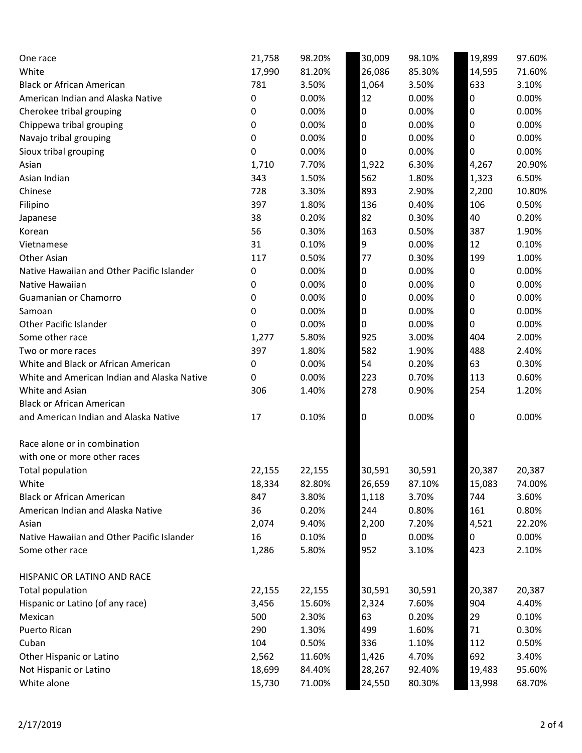| One race                                    | 21,758 | 98.20% | 30,009 | 98.10% | 19,899 | 97.60% |
|---------------------------------------------|--------|--------|--------|--------|--------|--------|
| White                                       | 17,990 | 81.20% | 26,086 | 85.30% | 14,595 | 71.60% |
| <b>Black or African American</b>            | 781    | 3.50%  | 1,064  | 3.50%  | 633    | 3.10%  |
| American Indian and Alaska Native           | 0      | 0.00%  | 12     | 0.00%  | 0      | 0.00%  |
| Cherokee tribal grouping                    | 0      | 0.00%  | 0      | 0.00%  | 0      | 0.00%  |
| Chippewa tribal grouping                    | 0      | 0.00%  | 0      | 0.00%  | 0      | 0.00%  |
| Navajo tribal grouping                      | 0      | 0.00%  | 0      | 0.00%  | 0      | 0.00%  |
| Sioux tribal grouping                       | 0      | 0.00%  | 0      | 0.00%  | 0      | 0.00%  |
| Asian                                       | 1,710  | 7.70%  | 1,922  | 6.30%  | 4,267  | 20.90% |
| Asian Indian                                | 343    | 1.50%  | 562    | 1.80%  | 1,323  | 6.50%  |
| Chinese                                     | 728    | 3.30%  | 893    | 2.90%  | 2,200  | 10.80% |
| Filipino                                    | 397    | 1.80%  | 136    | 0.40%  | 106    | 0.50%  |
| Japanese                                    | 38     | 0.20%  | 82     | 0.30%  | 40     | 0.20%  |
| Korean                                      | 56     | 0.30%  | 163    | 0.50%  | 387    | 1.90%  |
| Vietnamese                                  | 31     | 0.10%  | 9      | 0.00%  | 12     | 0.10%  |
| Other Asian                                 | 117    | 0.50%  | 77     | 0.30%  | 199    | 1.00%  |
| Native Hawaiian and Other Pacific Islander  | 0      | 0.00%  | 0      | 0.00%  | 0      | 0.00%  |
| Native Hawaiian                             | 0      | 0.00%  | 0      | 0.00%  | 0      | 0.00%  |
| Guamanian or Chamorro                       | 0      | 0.00%  | 0      | 0.00%  | 0      | 0.00%  |
| Samoan                                      | 0      | 0.00%  | 0      | 0.00%  | 0      | 0.00%  |
| <b>Other Pacific Islander</b>               | 0      | 0.00%  | 0      | 0.00%  | 0      | 0.00%  |
| Some other race                             | 1,277  | 5.80%  | 925    | 3.00%  | 404    | 2.00%  |
| Two or more races                           | 397    | 1.80%  | 582    | 1.90%  | 488    | 2.40%  |
| White and Black or African American         | 0      | 0.00%  | 54     | 0.20%  | 63     | 0.30%  |
| White and American Indian and Alaska Native | 0      | 0.00%  | 223    | 0.70%  | 113    | 0.60%  |
| White and Asian                             | 306    | 1.40%  | 278    | 0.90%  | 254    | 1.20%  |
| <b>Black or African American</b>            |        |        |        |        |        |        |
| and American Indian and Alaska Native       | 17     | 0.10%  | 0      | 0.00%  | 0      | 0.00%  |
| Race alone or in combination                |        |        |        |        |        |        |
| with one or more other races                |        |        |        |        |        |        |
| Total population                            | 22,155 | 22,155 | 30,591 | 30,591 | 20,387 | 20,387 |
| White                                       | 18,334 | 82.80% | 26,659 | 87.10% | 15,083 | 74.00% |
| <b>Black or African American</b>            | 847    | 3.80%  | 1,118  | 3.70%  | 744    | 3.60%  |
| American Indian and Alaska Native           | 36     | 0.20%  | 244    | 0.80%  | 161    | 0.80%  |
| Asian                                       | 2,074  | 9.40%  | 2,200  | 7.20%  | 4,521  | 22.20% |
| Native Hawaiian and Other Pacific Islander  | 16     | 0.10%  | 0      | 0.00%  | 0      | 0.00%  |
| Some other race                             | 1,286  | 5.80%  | 952    | 3.10%  | 423    | 2.10%  |
| HISPANIC OR LATINO AND RACE                 |        |        |        |        |        |        |
| Total population                            | 22,155 | 22,155 | 30,591 | 30,591 | 20,387 | 20,387 |
| Hispanic or Latino (of any race)            | 3,456  | 15.60% | 2,324  | 7.60%  | 904    | 4.40%  |
| Mexican                                     | 500    | 2.30%  | 63     | 0.20%  | 29     | 0.10%  |
| Puerto Rican                                | 290    | 1.30%  | 499    | 1.60%  | 71     | 0.30%  |
| Cuban                                       | 104    | 0.50%  | 336    | 1.10%  | 112    | 0.50%  |
| Other Hispanic or Latino                    | 2,562  | 11.60% | 1,426  | 4.70%  | 692    | 3.40%  |
| Not Hispanic or Latino                      | 18,699 | 84.40% | 28,267 | 92.40% | 19,483 | 95.60% |
| White alone                                 | 15,730 | 71.00% | 24,550 | 80.30% | 13,998 | 68.70% |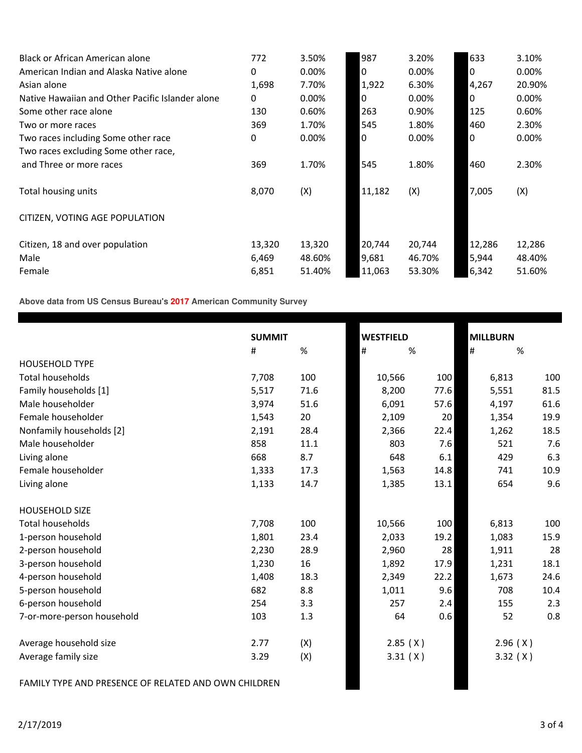| Black or African American alone                  | 772      | 3.50%  | 987    | 3.20%    | 633    | 3.10%  |
|--------------------------------------------------|----------|--------|--------|----------|--------|--------|
| American Indian and Alaska Native alone          | 0        | 0.00%  | 0      | $0.00\%$ | 0      | 0.00%  |
| Asian alone                                      | 1,698    | 7.70%  | 1,922  | 6.30%    | 4,267  | 20.90% |
| Native Hawaiian and Other Pacific Islander alone | $\Omega$ | 0.00%  | 0      | $0.00\%$ | 0      | 0.00%  |
| Some other race alone                            | 130      | 0.60%  | 263    | 0.90%    | 125    | 0.60%  |
| Two or more races                                | 369      | 1.70%  | 545    | 1.80%    | 460    | 2.30%  |
| Two races including Some other race              | 0        | 0.00%  | 0      | $0.00\%$ | 0      | 0.00%  |
| Two races excluding Some other race,             |          |        |        |          |        |        |
| and Three or more races                          | 369      | 1.70%  | 545    | 1.80%    | 460    | 2.30%  |
| Total housing units                              | 8,070    | (X)    | 11,182 | (X)      | 7,005  | (X)    |
| CITIZEN, VOTING AGE POPULATION                   |          |        |        |          |        |        |
| Citizen, 18 and over population                  | 13,320   | 13,320 | 20,744 | 20,744   | 12,286 | 12,286 |
| Male                                             | 6,469    | 48.60% | 9,681  | 46.70%   | 5,944  | 48.40% |
| Female                                           | 6,851    | 51.40% | 11,063 | 53.30%   | 6,342  | 51.60% |

**Above data from US Census Bureau's 2017 American Community Survey**

|                            | <b>SUMMIT</b> |      | <b>WESTFIELD</b> |      | <b>MILLBURN</b> |      |  |
|----------------------------|---------------|------|------------------|------|-----------------|------|--|
|                            | #             | $\%$ | $\#$             | %    | $\#$            | $\%$ |  |
| <b>HOUSEHOLD TYPE</b>      |               |      |                  |      |                 |      |  |
| <b>Total households</b>    | 7,708         | 100  | 10,566           | 100  | 6,813           | 100  |  |
| Family households [1]      | 5,517         | 71.6 | 8,200            | 77.6 | 5,551           | 81.5 |  |
| Male householder           | 3,974         | 51.6 | 6,091            | 57.6 | 4,197           | 61.6 |  |
| Female householder         | 1,543         | 20   | 2,109            | 20   | 1,354           | 19.9 |  |
| Nonfamily households [2]   | 2,191         | 28.4 | 2,366            | 22.4 | 1,262           | 18.5 |  |
| Male householder           | 858           | 11.1 | 803              | 7.6  | 521             | 7.6  |  |
| Living alone               | 668           | 8.7  | 648              | 6.1  | 429             | 6.3  |  |
| Female householder         | 1,333         | 17.3 | 1,563            | 14.8 | 741             | 10.9 |  |
| Living alone               | 1,133         | 14.7 | 1,385            | 13.1 | 654             | 9.6  |  |
| <b>HOUSEHOLD SIZE</b>      |               |      |                  |      |                 |      |  |
| <b>Total households</b>    | 7,708         | 100  | 10,566           | 100  | 6,813           | 100  |  |
| 1-person household         | 1,801         | 23.4 | 2,033            | 19.2 | 1,083           | 15.9 |  |
| 2-person household         | 2,230         | 28.9 | 2,960            | 28   | 1,911           | 28   |  |
| 3-person household         | 1,230         | 16   | 1,892            | 17.9 | 1,231           | 18.1 |  |
| 4-person household         | 1,408         | 18.3 | 2,349            | 22.2 | 1,673           | 24.6 |  |
| 5-person household         | 682           | 8.8  | 1,011            | 9.6  | 708             | 10.4 |  |
| 6-person household         | 254           | 3.3  | 257              | 2.4  | 155             | 2.3  |  |
| 7-or-more-person household | 103           | 1.3  | 64               | 0.6  | 52              | 0.8  |  |
| Average household size     | 2.77          | (X)  | 2.85(X)          |      | 2.96(X)         |      |  |
| Average family size        | 3.29          | (X)  | 3.31(X)          |      | 3.32(X)         |      |  |

FAMILY TYPE AND PRESENCE OF RELATED AND OWN CHILDREN